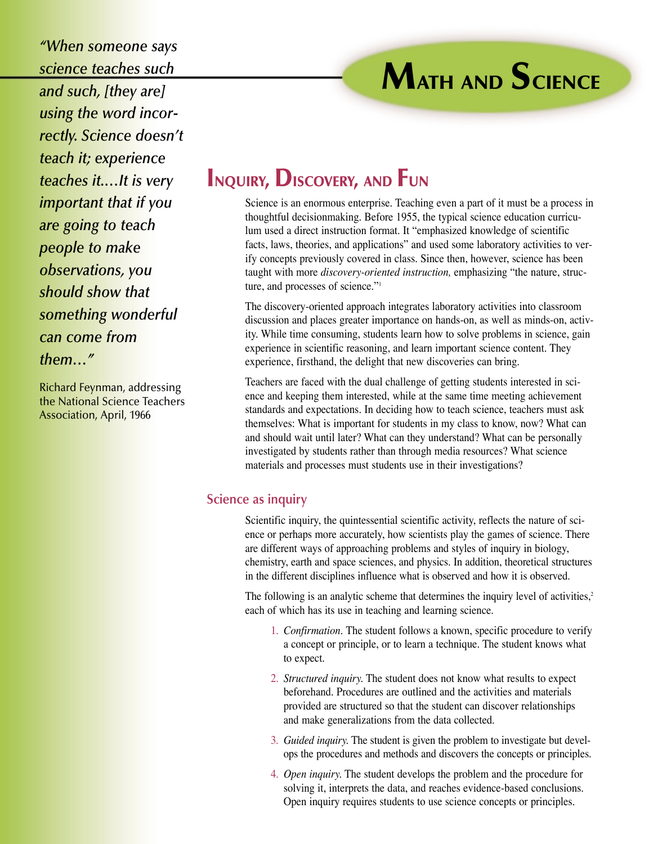*"When someone says science teaches such and such, [they are] using the word incorrectly. Science doesn't teach it; experience teaches it.…It is very important that if you are going to teach people to make observations, you should show that something wonderful can come from them…"*

Richard Feynman, addressing the National Science Teachers Association, April, 1966

## **INQUIRY, DISCOVERY, AND FUN**

Science is an enormous enterprise. Teaching even a part of it must be a process in thoughtful decisionmaking. Before 1955, the typical science education curriculum used a direct instruction format. It "emphasized knowledge of scientific facts, laws, theories, and applications" and used some laboratory activities to verify concepts previously covered in class. Since then, however, science has been taught with more *discovery-oriented instruction,* emphasizing "the nature, structure, and processes of science."1

**MATH AND SCIENCE**

The discovery-oriented approach integrates laboratory activities into classroom discussion and places greater importance on hands-on, as well as minds-on, activity. While time consuming, students learn how to solve problems in science, gain experience in scientific reasoning, and learn important science content. They experience, firsthand, the delight that new discoveries can bring.

Teachers are faced with the dual challenge of getting students interested in science and keeping them interested, while at the same time meeting achievement standards and expectations. In deciding how to teach science, teachers must ask themselves: What is important for students in my class to know, now? What can and should wait until later? What can they understand? What can be personally investigated by students rather than through media resources? What science materials and processes must students use in their investigations?

## **Science as inquiry**

Scientific inquiry, the quintessential scientific activity, reflects the nature of science or perhaps more accurately, how scientists play the games of science. There are different ways of approaching problems and styles of inquiry in biology, chemistry, earth and space sciences, and physics. In addition, theoretical structures in the different disciplines influence what is observed and how it is observed.

The following is an analytic scheme that determines the inquiry level of activities, $2$ each of which has its use in teaching and learning science.

- 1. *Confirmation.* The student follows a known, specific procedure to verify a concept or principle, or to learn a technique. The student knows what to expect.
- 2. *Structured inquiry.* The student does not know what results to expect beforehand. Procedures are outlined and the activities and materials provided are structured so that the student can discover relationships and make generalizations from the data collected.
- 3. *Guided inquiry.* The student is given the problem to investigate but develops the procedures and methods and discovers the concepts or principles.
- 4. *Open inquiry.* The student develops the problem and the procedure for solving it, interprets the data, and reaches evidence-based conclusions. Open inquiry requires students to use science concepts or principles.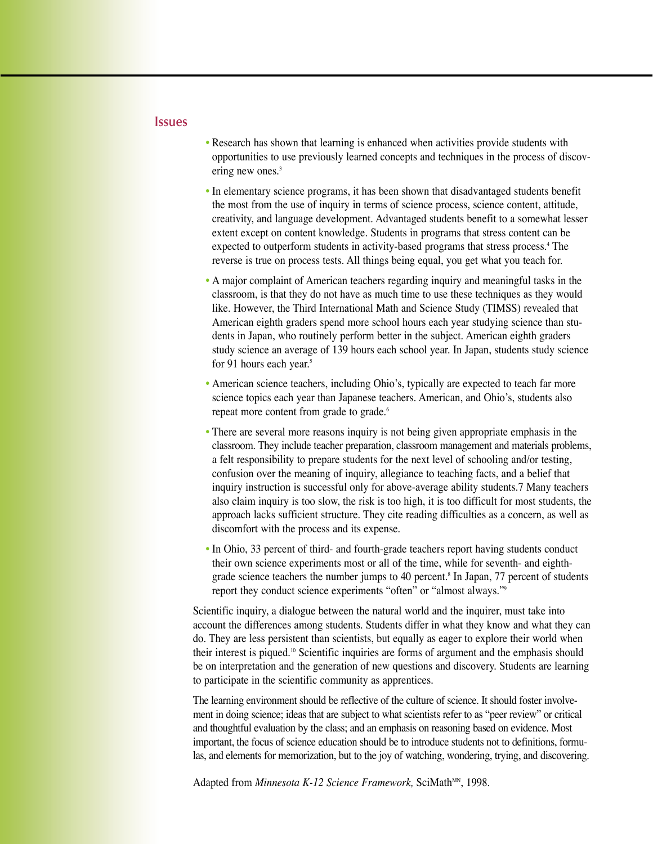## **Issues**

- Research has shown that learning is enhanced when activities provide students with opportunities to use previously learned concepts and techniques in the process of discovering new ones.<sup>3</sup>
- In elementary science programs, it has been shown that disadvantaged students benefit the most from the use of inquiry in terms of science process, science content, attitude, creativity, and language development. Advantaged students benefit to a somewhat lesser extent except on content knowledge. Students in programs that stress content can be expected to outperform students in activity-based programs that stress process.4 The reverse is true on process tests. All things being equal, you get what you teach for.
- A major complaint of American teachers regarding inquiry and meaningful tasks in the classroom, is that they do not have as much time to use these techniques as they would like. However, the Third International Math and Science Study (TIMSS) revealed that American eighth graders spend more school hours each year studying science than students in Japan, who routinely perform better in the subject. American eighth graders study science an average of 139 hours each school year. In Japan, students study science for 91 hours each year.<sup>5</sup>
- American science teachers, including Ohio's, typically are expected to teach far more science topics each year than Japanese teachers. American, and Ohio's, students also repeat more content from grade to grade.<sup>6</sup>
- There are several more reasons inquiry is not being given appropriate emphasis in the classroom. They include teacher preparation, classroom management and materials problems, a felt responsibility to prepare students for the next level of schooling and/or testing, confusion over the meaning of inquiry, allegiance to teaching facts, and a belief that inquiry instruction is successful only for above-average ability students.7 Many teachers also claim inquiry is too slow, the risk is too high, it is too difficult for most students, the approach lacks sufficient structure. They cite reading difficulties as a concern, as well as discomfort with the process and its expense.
- In Ohio, 33 percent of third- and fourth-grade teachers report having students conduct their own science experiments most or all of the time, while for seventh- and eighthgrade science teachers the number jumps to 40 percent.<sup>8</sup> In Japan, 77 percent of students report they conduct science experiments "often" or "almost always."9

Scientific inquiry, a dialogue between the natural world and the inquirer, must take into account the differences among students. Students differ in what they know and what they can do. They are less persistent than scientists, but equally as eager to explore their world when their interest is piqued.10 Scientific inquiries are forms of argument and the emphasis should be on interpretation and the generation of new questions and discovery. Students are learning to participate in the scientific community as apprentices.

The learning environment should be reflective of the culture of science. It should foster involvement in doing science; ideas that are subject to what scientists refer to as "peer review" or critical and thoughtful evaluation by the class; and an emphasis on reasoning based on evidence. Most important, the focus of science education should be to introduce students not to definitions, formulas, and elements for memorization, but to the joy of watching, wondering, trying, and discovering.

Adapted from *Minnesota K-12 Science Framework*, SciMath<sup>MN</sup>, 1998.